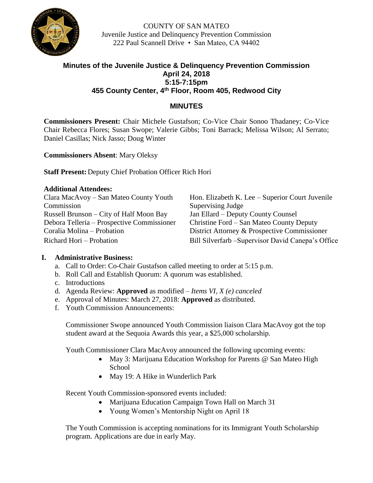

COUNTY OF SAN MATEO Juvenile Justice and Delinquency Prevention Commission 222 Paul Scannell Drive • San Mateo, CA 94402

# **Minutes of the Juvenile Justice & Delinquency Prevention Commission April 24, 2018 5:15-7:15pm 455 County Center, 4th Floor, Room 405, Redwood City**

## **MINUTES**

**Commissioners Present:** Chair Michele Gustafson; Co-Vice Chair Sonoo Thadaney; Co-Vice Chair Rebecca Flores; Susan Swope; Valerie Gibbs; Toni Barrack; Melissa Wilson; Al Serrato; Daniel Casillas; Nick Jasso; Doug Winter

**Commissioners Absent**: Mary Oleksy

**Staff Present:** Deputy Chief Probation Officer Rich Hori

#### **Additional Attendees:**

| Clara MacAvoy – San Mateo County Youth     | Hon. Elizabeth K. Lee – Superior Court Juvenile    |
|--------------------------------------------|----------------------------------------------------|
| Commission                                 | Supervising Judge                                  |
| Russell Brunson – City of Half Moon Bay    | Jan Ellard – Deputy County Counsel                 |
| Debora Telleria – Prospective Commissioner | Christine Ford – San Mateo County Deputy           |
| Coralia Molina – Probation                 | District Attorney & Prospective Commissioner       |
| Richard Hori – Probation                   | Bill Silverfarb - Supervisor David Canepa's Office |

#### **I. Administrative Business:**

- a. Call to Order: Co-Chair Gustafson called meeting to order at 5:15 p.m.
- b. Roll Call and Establish Quorum: A quorum was established.
- c. Introductions
- d. Agenda Review: **Approved** as modified *Items VI, X (e) canceled*
- e. Approval of Minutes: March 27, 2018: **Approved** as distributed.
- f. Youth Commission Announcements:

Commissioner Swope announced Youth Commission liaison Clara MacAvoy got the top student award at the Sequoia Awards this year, a \$25,000 scholarship.

Youth Commissioner Clara MacAvoy announced the following upcoming events:

- May 3: Marijuana Education Workshop for Parents @ San Mateo High School
- May 19: A Hike in Wunderlich Park

Recent Youth Commission-sponsored events included:

- Marijuana Education Campaign Town Hall on March 31
- Young Women's Mentorship Night on April 18

The Youth Commission is accepting nominations for its Immigrant Youth Scholarship program. Applications are due in early May.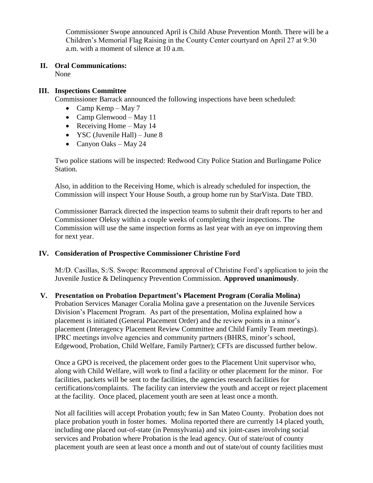Commissioner Swope announced April is Child Abuse Prevention Month. There will be a Children's Memorial Flag Raising in the County Center courtyard on April 27 at 9:30 a.m. with a moment of silence at 10 a.m.

### **II. Oral Communications:**

None

#### **III. Inspections Committee**

Commissioner Barrack announced the following inspections have been scheduled:

- Camp Kemp May 7
- Camp Glenwood May 11
- Receiving Home May 14
- YSC (Juvenile Hall) June 8
- Canyon Oaks May 24

Two police stations will be inspected: Redwood City Police Station and Burlingame Police Station.

Also, in addition to the Receiving Home, which is already scheduled for inspection, the Commission will inspect Your House South, a group home run by StarVista. Date TBD.

Commissioner Barrack directed the inspection teams to submit their draft reports to her and Commissioner Oleksy within a couple weeks of completing their inspections. The Commission will use the same inspection forms as last year with an eye on improving them for next year.

#### **IV. Consideration of Prospective Commissioner Christine Ford**

M:/D. Casillas, S:/S. Swope: Recommend approval of Christine Ford's application to join the Juvenile Justice & Delinquency Prevention Commission. **Approved unanimously**.

#### **V. Presentation on Probation Department's Placement Program (Coralia Molina)**

Probation Services Manager Coralia Molina gave a presentation on the Juvenile Services Division's Placement Program. As part of the presentation, Molina explained how a placement is initiated (General Placement Order) and the review points in a minor's placement (Interagency Placement Review Committee and Child Family Team meetings). IPRC meetings involve agencies and community partners (BHRS, minor's school, Edgewood, Probation, Child Welfare, Family Partner); CFTs are discussed further below.

Once a GPO is received, the placement order goes to the Placement Unit supervisor who, along with Child Welfare, will work to find a facility or other placement for the minor. For facilities, packets will be sent to the facilities, the agencies research facilities for certifications/complaints. The facility can interview the youth and accept or reject placement at the facility. Once placed, placement youth are seen at least once a month.

Not all facilities will accept Probation youth; few in San Mateo County. Probation does not place probation youth in foster homes. Molina reported there are currently 14 placed youth, including one placed out-of-state (in Pennsylvania) and six joint-cases involving social services and Probation where Probation is the lead agency. Out of state/out of county placement youth are seen at least once a month and out of state/out of county facilities must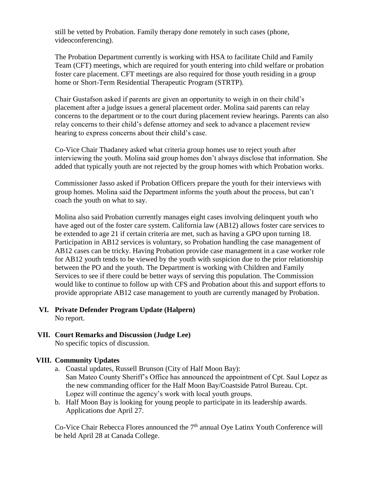still be vetted by Probation. Family therapy done remotely in such cases (phone, videoconferencing).

The Probation Department currently is working with HSA to facilitate Child and Family Team (CFT) meetings, which are required for youth entering into child welfare or probation foster care placement. CFT meetings are also required for those youth residing in a group home or Short-Term Residential Therapeutic Program (STRTP).

Chair Gustafson asked if parents are given an opportunity to weigh in on their child's placement after a judge issues a general placement order. Molina said parents can relay concerns to the department or to the court during placement review hearings. Parents can also relay concerns to their child's defense attorney and seek to advance a placement review hearing to express concerns about their child's case.

Co-Vice Chair Thadaney asked what criteria group homes use to reject youth after interviewing the youth. Molina said group homes don't always disclose that information. She added that typically youth are not rejected by the group homes with which Probation works.

Commissioner Jasso asked if Probation Officers prepare the youth for their interviews with group homes. Molina said the Department informs the youth about the process, but can't coach the youth on what to say.

Molina also said Probation currently manages eight cases involving delinquent youth who have aged out of the foster care system. California law (AB12) allows foster care services to be extended to age 21 if certain criteria are met, such as having a GPO upon turning 18. Participation in AB12 services is voluntary, so Probation handling the case management of AB12 cases can be tricky. Having Probation provide case management in a case worker role for AB12 youth tends to be viewed by the youth with suspicion due to the prior relationship between the PO and the youth. The Department is working with Children and Family Services to see if there could be better ways of serving this population. The Commission would like to continue to follow up with CFS and Probation about this and support efforts to provide appropriate AB12 case management to youth are currently managed by Probation.

**VI. Private Defender Program Update (Halpern)**

No report.

**VII. Court Remarks and Discussion (Judge Lee)** No specific topics of discussion.

#### **VIII. Community Updates**

- a. Coastal updates, Russell Brunson (City of Half Moon Bay): San Mateo County Sheriff's Office has announced the appointment of Cpt. Saul Lopez as the new commanding officer for the Half Moon Bay/Coastside Patrol Bureau. Cpt. Lopez will continue the agency's work with local youth groups.
- b. Half Moon Bay is looking for young people to participate in its leadership awards. Applications due April 27.

Co-Vice Chair Rebecca Flores announced the 7<sup>th</sup> annual Oye Latinx Youth Conference will be held April 28 at Canada College.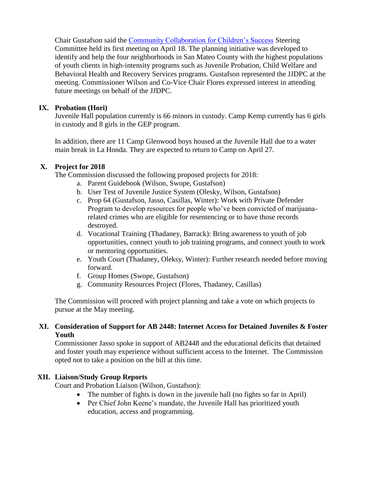Chair Gustafson said the [Community Collaboration for Children's Success](http://www.gethealthysmc.org/community-collaboration-childrens-success) Steering Committee held its first meeting on April 18. The planning initiative was developed to identify and help the four neighborhoods in San Mateo County with the highest populations of youth clients in high-intensity programs such as Juvenile Probation, Child Welfare and Behavioral Health and Recovery Services programs. Gustafson represented the JJDPC at the meeting. Commissioner Wilson and Co-Vice Chair Flores expressed interest in attending future meetings on behalf of the JJDPC.

#### **IX. Probation (Hori)**

Juvenile Hall population currently is 66 minors in custody. Camp Kemp currently has 6 girls in custody and 8 girls in the GEP program.

In addition, there are 11 Camp Glenwood boys housed at the Juvenile Hall due to a water main break in La Honda. They are expected to return to Camp on April 27.

#### **X. Project for 2018**

The Commission discussed the following proposed projects for 2018:

- a. Parent Guidebook (Wilson, Swope, Gustafson)
- b. User Test of Juvenile Justice System (Olesky, Wilson, Gustafson)
- c. Prop 64 (Gustafson, Jasso, Casillas, Winter): Work with Private Defender Program to develop resources for people who've been convicted of marijuanarelated crimes who are eligible for resentencing or to have those records destroyed.
- d. Vocational Training (Thadaney, Barrack): Bring awareness to youth of job opportunities, connect youth to job training programs, and connect youth to work or mentoring opportunities.
- e. Youth Court (Thadaney, Oleksy, Winter): Further research needed before moving forward.
- f. Group Homes (Swope, Gustafson)
- g. Community Resources Project (Flores, Thadaney, Casillas)

The Commission will proceed with project planning and take a vote on which projects to pursue at the May meeting.

#### **XI. Consideration of Support for AB 2448: Internet Access for Detained Juveniles & Foster Youth**

Commissioner Jasso spoke in support of AB2448 and the educational deficits that detained and foster youth may experience without sufficient access to the Internet. The Commission opted not to take a position on the bill at this time.

#### **XII. Liaison/Study Group Reports**

Court and Probation Liaison (Wilson, Gustafson):

- The number of fights is down in the juvenile hall (no fights so far in April)
- Per Chief John Keene's mandate, the Juvenile Hall has prioritized youth education, access and programming.